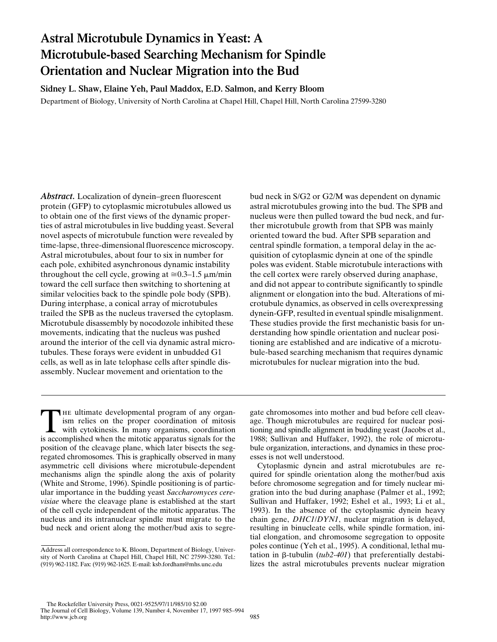# **Astral Microtubule Dynamics in Yeast: A Microtubule-based Searching Mechanism for Spindle Orientation and Nuclear Migration into the Bud**

**Sidney L. Shaw, Elaine Yeh, Paul Maddox, E.D. Salmon, and Kerry Bloom** Department of Biology, University of North Carolina at Chapel Hill, Chapel Hill, North Carolina 27599-3280

*Abstract.* Localization of dynein–green fluorescent protein (GFP) to cytoplasmic microtubules allowed us to obtain one of the first views of the dynamic properties of astral microtubules in live budding yeast. Several novel aspects of microtubule function were revealed by time-lapse, three-dimensional fluorescence microscopy. Astral microtubules, about four to six in number for each pole, exhibited asynchronous dynamic instability throughout the cell cycle, growing at  $\approx 0.3-1.5 \mu$ m/min toward the cell surface then switching to shortening at similar velocities back to the spindle pole body (SPB). During interphase, a conical array of microtubules trailed the SPB as the nucleus traversed the cytoplasm. Microtubule disassembly by nocodozole inhibited these movements, indicating that the nucleus was pushed around the interior of the cell via dynamic astral microtubules. These forays were evident in unbudded G1 cells, as well as in late telophase cells after spindle disassembly. Nuclear movement and orientation to the

bud neck in S/G2 or G2/M was dependent on dynamic astral microtubules growing into the bud. The SPB and nucleus were then pulled toward the bud neck, and further microtubule growth from that SPB was mainly oriented toward the bud. After SPB separation and central spindle formation, a temporal delay in the acquisition of cytoplasmic dynein at one of the spindle poles was evident. Stable microtubule interactions with the cell cortex were rarely observed during anaphase, and did not appear to contribute significantly to spindle alignment or elongation into the bud. Alterations of microtubule dynamics, as observed in cells overexpressing dynein-GFP, resulted in eventual spindle misalignment. These studies provide the first mechanistic basis for understanding how spindle orientation and nuclear positioning are established and are indicative of a microtubule-based searching mechanism that requires dynamic microtubules for nuclear migration into the bud.

The ultimate developmental program of any organism relies on the proper coordination of mitosis with cytokinesis. In many organisms, coordination is accomplished when the mitotic apparatus signals for the position of the cleavage plane, which later bisects the segregated chromosomes. This is graphically observed in many asymmetric cell divisions where microtubule-dependent mechanisms align the spindle along the axis of polarity (White and Strome, 1996). Spindle positioning is of particular importance in the budding yeast *Saccharomyces cerevisiae* where the cleavage plane is established at the start of the cell cycle independent of the mitotic apparatus. The nucleus and its intranuclear spindle must migrate to the bud neck and orient along the mother/bud axis to segregate chromosomes into mother and bud before cell cleavage. Though microtubules are required for nuclear positioning and spindle alignment in budding yeast (Jacobs et al., 1988; Sullivan and Huffaker, 1992), the role of microtubule organization, interactions, and dynamics in these processes is not well understood.

Cytoplasmic dynein and astral microtubules are required for spindle orientation along the mother/bud axis before chromosome segregation and for timely nuclear migration into the bud during anaphase (Palmer et al., 1992; Sullivan and Huffaker, 1992; Eshel et al., 1993; Li et al., 1993). In the absence of the cytoplasmic dynein heavy chain gene, *DHC1*/*DYN1*, nuclear migration is delayed, resulting in binucleate cells, while spindle formation, initial elongation, and chromosome segregation to opposite poles continue (Yeh et al., 1995). A conditional, lethal mutation in  $\beta$ -tubulin (*tub2-401*) that preferentially destabilizes the astral microtubules prevents nuclear migration

Address all correspondence to K. Bloom, Department of Biology, University of North Carolina at Chapel Hill, Chapel Hill, NC 27599-3280. Tel.: (919) 962-1182. Fax: (919) 962-1625. E-mail: ksb.fordham@mhs.unc.edu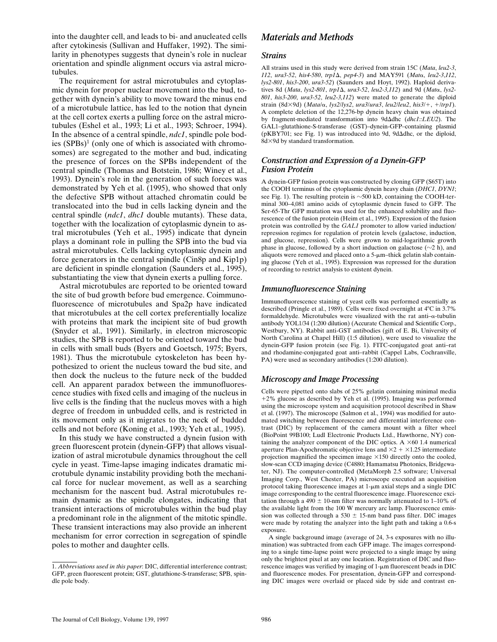into the daughter cell, and leads to bi- and anucleated cells after cytokinesis (Sullivan and Huffaker, 1992). The similarity in phenotypes suggests that dynein's role in nuclear orientation and spindle alignment occurs via astral microtubules.

The requirement for astral microtubules and cytoplasmic dynein for proper nuclear movement into the bud, together with dynein's ability to move toward the minus end of a microtubule lattice, has led to the notion that dynein at the cell cortex exerts a pulling force on the astral microtubules (Eshel et al., 1993; Li et al., 1993; Schroer, 1994). In the absence of a central spindle, *ndc1*, spindle pole bodies (SPBs)<sup>1</sup> (only one of which is associated with chromosomes) are segregated to the mother and bud, indicating the presence of forces on the SPBs independent of the central spindle (Thomas and Botstein, 1986; Winey et al., 1993). Dynein's role in the generation of such forces was demonstrated by Yeh et al. (1995), who showed that only the defective SPB without attached chromatin could be translocated into the bud in cells lacking dynein and the central spindle (*ndc1*, *dhc1* double mutants). These data, together with the localization of cytoplasmic dynein to astral microtubules (Yeh et al., 1995) indicate that dynein plays a dominant role in pulling the SPB into the bud via astral microtubules. Cells lacking cytoplasmic dynein and force generators in the central spindle (Cin8p and Kip1p) are deficient in spindle elongation (Saunders et al., 1995), substantiating the view that dynein exerts a pulling force.

Astral microtubules are reported to be oriented toward the site of bud growth before bud emergence. Coimmunofluorescence of microtubules and Spa2p have indicated that microtubules at the cell cortex preferentially localize with proteins that mark the incipient site of bud growth (Snyder et al., 1991). Similarly, in electron microscopic studies, the SPB is reported to be oriented toward the bud in cells with small buds (Byers and Goetsch, 1975; Byers, 1981). Thus the microtubule cytoskeleton has been hypothesized to orient the nucleus toward the bud site, and then dock the nucleus to the future neck of the budded cell. An apparent paradox between the immunofluorescence studies with fixed cells and imaging of the nucleus in live cells is the finding that the nucleus moves with a high degree of freedom in unbudded cells, and is restricted in its movement only as it migrates to the neck of budded cells and not before (Koning et al., 1993; Yeh et al., 1995).

In this study we have constructed a dynein fusion with green fluorescent protein (dynein-GFP) that allows visualization of astral microtubule dynamics throughout the cell cycle in yeast. Time-lapse imaging indicates dramatic microtubule dynamic instability providing both the mechanical force for nuclear movement, as well as a searching mechanism for the nascent bud. Astral microtubules remain dynamic as the spindle elongates, indicating that transient interactions of microtubules within the bud play a predominant role in the alignment of the mitotic spindle. These transient interactions may also provide an inherent mechanism for error correction in segregation of spindle poles to mother and daughter cells.

# *Materials and Methods*

#### *Strains*

All strains used in this study were derived from strain 15C (*Mata*, *leu2-3*, *112*, *ura3-52*, *his4-580*, *trp1*D, *pep4-3*) and MAY591 (*Mat*a, *leu2-3*,*112*, *lys2-801*, *his3-200*, *ura3-52*) (Saunders and Hoyt, 1992). Haploid derivatives 8d (*Mata*, *lys2-801*, *trp1*D, *ura3-52*, *leu2-3,112*) and 9d (*Mat*a, *lys2- 801*, *his3-200*, *ura3-52*, *leu2-3,112*) were mated to generate the diploid strain (8d39d) (*Mata*/a, *lys2*/*lys2*, *ura3*/*ura3*, *leu2*/*leu2*, *his3*/1, 1/*trp1*). A complete deletion of the 12,276-bp dynein heavy chain was obtained by fragment-mediated transformation into 9dDdhc (*dhc1::LEU2*). The GAL1–glutathione-S-transferase (GST)–dynein-GFP–containing plasmid ( $pKBY701$ ; see Fig. 1) was introduced into 9d, 9d $\Delta$ dhc, or the diploid, 8d×9d by standard transformation.

## *Construction and Expression of a Dynein-GFP Fusion Protein*

A dynein-GFP fusion protein was constructed by cloning GFP (S65T) into the COOH terminus of the cytoplasmic dynein heavy chain (*DHC1*, *DYN1*; see Fig. 1). The resulting protein is  $\sim$  500 kD, containing the COOH-terminal 300–4,081 amino acids of cytoplasmic dynein fused to GFP. The Ser-65-Thr GFP mutation was used for the enhanced solubility and fluorescence of the fusion protein (Heim et al., 1995). Expression of the fusion protein was controlled by the *GAL1* promoter to allow varied induction/ repression regimes for regulation of protein levels (galactose, induction, and glucose, repression). Cells were grown to mid-logarithmic growth phase in glucose, followed by a short induction on galactose  $(\sim 2 h)$ , and aliquots were removed and placed onto a  $5-\mu$ m-thick gelatin slab containing glucose (Yeh et al., 1995). Expression was repressed for the duration of recording to restrict analysis to existent dynein.

### *Immunofluorescence Staining*

Immunofluorescence staining of yeast cells was performed essentially as described (Pringle et al., 1989). Cells were fixed overnight at  $4^{\circ}$ C in 3.7% formaldehyde. Microtubules were visualized with the rat anti- $\alpha$ -tubulin antibody YOL1/34 (1:200 dilution) (Accurate Chemical and Scientific Corp., Westbury, NY). Rabbit anti-GST antibodies (gift of E. Bi, University of North Carolina at Chapel Hill) (1:5 dilution), were used to visualize the dynein-GFP fusion protein (see Fig. 1). FITC-conjugated goat anti–rat and rhodamine-conjugated goat anti–rabbit (Cappel Labs, Cochranville, PA) were used as secondary antibodies (1:200 dilution).

#### *Microscopy and Image Processing*

Cells were pipetted onto slabs of 25% gelatin containing minimal media  $+2\%$  glucose as described by Yeh et al. (1995). Imaging was performed using the microscope system and acquisition protocol described in Shaw et al. (1997). The microscope (Salmon et al., 1994) was modified for automated switching between fluorescence and differential interference contrast (DIC) by replacement of the camera mount with a filter wheel (BioPoint 99B100; Ludl Electronic Products Ltd., Hawthorne, NY) containing the analyzer component of the DIC optics. A  $\times 60$  1.4 numerical aperture Plan-Apochromatic objective lens and  $\times$ 2 +  $\times$ 1.25 intermediate projection magnified the specimen image  $\times 150$  directly onto the cooled, slow-scan CCD imaging device (C4880; Hamamatsu Photonics, Bridgewater, NJ). The computer-controlled (MetaMorph 2.5 software; Universal Imaging Corp., West Chester, PA) microscope executed an acquisition protocol taking fluorescence images at  $1-\mu m$  axial steps and a single DIC image corresponding to the central fluorescence image. Fluorescence excitation through a 490  $\pm$  10-nm filter was normally attenuated to 1–10% of the available light from the 100 W mercury arc lamp. Fluorescence emission was collected through a  $530 \pm 15$ -nm band pass filter. DIC images were made by rotating the analyzer into the light path and taking a 0.6-s exposure.

A single background image (average of 24, 3-s exposures with no illumination) was subtracted from each GFP image. The images corresponding to a single time-lapse point were projected to a single image by using only the brightest pixel at any one location. Registration of DIC and fluorescence images was verified by imaging of 1-um fluorescent beads in DIC and fluorescence modes. For presentation, dynein-GFP and corresponding DIC images were overlaid or placed side by side and contrast en-

<sup>1.</sup> *Abbreviations used in this paper*: DIC, differential interference contrast; GFP, green fluorescent protein; GST, glutathione-S-transferase; SPB, spindle pole body.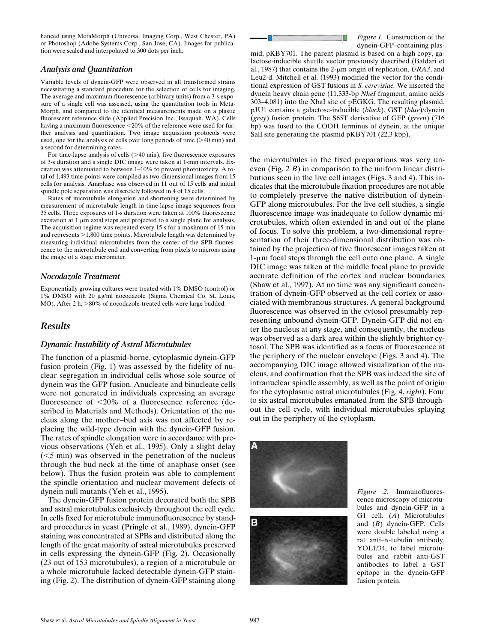hanced using MetaMorph (Universal Imaging Corp., West Chester, PA) or Photoshop (Adobe Systems Corp., San Jose, CA). Images for publication were scaled and interpolated to 300 dots per inch.

#### *Analysis and Quantitation*

Variable levels of dynein-GFP were observed in all transformed strains necessitating a standard procedure for the selection of cells for imaging. The average and maximum fluorescence (arbitrary units) from a 3-s exposure of a single cell was assessed, using the quantitation tools in Meta-Morph, and compared to the identical measurements made on a plastic fluorescent reference slide (Applied Precision Inc., Issaquah, WA). Cells having a maximum fluorescence <20% of the reference were used for further analysis and quantitation. Two image acquisition protocols were used, one for the analysis of cells over long periods of time  $($ >40 min) and a second for determining rates.

For time-lapse analysis of cells  $($ >40 min), five fluorescence exposures of 3-s duration and a single DIC image were taken at 1-min intervals. Excitation was attenuated to between 1–10% to prevent phototoxicity. A total of 1,493 time points were compiled as two-dimensional images from 15 cells for analysis. Anaphase was observed in 11 out of 15 cells and initial spindle pole separation was discretely followed in 4 of 15 cells.

Rates of microtubule elongation and shortening were determined by measurement of microtubule length in time-lapse image sequences from 35 cells. Three exposures of 1-s duration were taken at 100% fluorescence excitation at  $1 \mu m$  axial steps and projected to a single plane for analysis. The acquisition regime was repeated every 15 s for a maximum of 15 min and represents  $>1,800$  time points. Microtubule length was determined by measuring individual microtubules from the center of the SPB fluorescence to the microtubule end and converting from pixels to microns using the image of a stage micrometer.

#### *Nocodazole Treatment*

Exponentially growing cultures were treated with 1% DMSO (control) or 1% DMSO with 20 mg/ml nocodazole (Sigma Chemical Co. St. Louis, MO). After 2 h, >80% of nocodazole-treated cells were large budded.

# *Results*

#### *Dynamic Instability of Astral Microtubules*

The function of a plasmid-borne, cytoplasmic dynein-GFP fusion protein (Fig. 1) was assessed by the fidelity of nuclear segregation in individual cells whose sole source of dynein was the GFP fusion. Anucleate and binucleate cells were not generated in individuals expressing an average fluorescence of  $\langle 20\% \rangle$  of a fluorescence reference (described in Materials and Methods). Orientation of the nucleus along the mother–bud axis was not affected by replacing the wild-type dynein with the dynein-GFP fusion. The rates of spindle elongation were in accordance with previous observations (Yeh et al., 1995). Only a slight delay  $(<5$  min) was observed in the penetration of the nucleus through the bud neck at the time of anaphase onset (see below). Thus the fusion protein was able to complement the spindle orientation and nuclear movement defects of dynein null mutants (Yeh et al., 1995).

The dynein-GFP fusion protein decorated both the SPB and astral microtubules exclusively throughout the cell cycle. In cells fixed for microtubule immunofluorescence by standard procedures in yeast (Pringle et al., 1989), dynein-GFP staining was concentrated at SPBs and distributed along the length of the great majority of astral microtubules preserved in cells expressing the dynein-GFP (Fig. 2). Occasionally (23 out of 153 microtubules), a region of a microtubule or a whole microtubule lacked detectable dynein-GFP staining (Fig. 2). The distribution of dynein-GFP staining along



*Figure 1.* Construction of the dynein-GFP–containing plas-

mid, pKBY701. The parent plasmid is based on a high copy, galactose-inducible shuttle vector previously described (Baldari et al., 1987) that contains the 2- $\mu$ m origin of replication, *URA3*, and Leu2-d. Mitchell et al. (1993) modified the vector for the conditional expression of GST fusions in *S. cerevisiae.* We inserted the dynein heavy chain gene (11,333-bp *NheI* fragment, amino acids 303–4,081) into the XbaI site of pEGKG. The resulting plasmid, pJU1 contains a galactose-inducible (*black*), GST (*blue*)/dynein (*gray*) fusion protein. The S65T derivative of GFP (*green*) (716 bp) was fused to the COOH terminus of dynein, at the unique SalI site generating the plasmid pKBY701 (22.3 kbp).

the microtubules in the fixed preparations was very uneven (Fig. 2 *B*) in comparison to the uniform linear distributions seen in the live cell images (Figs. 3 and 4). This indicates that the microtubule fixation procedures are not able to completely preserve the native distribution of dynein-GFP along microtubules. For the live cell studies, a single fluorescence image was inadequate to follow dynamic microtubules, which often extended in and out of the plane of focus. To solve this problem, a two-dimensional representation of their three-dimensional distribution was obtained by the projection of five fluorescent images taken at  $1-\mu m$  focal steps through the cell onto one plane. A single DIC image was taken at the middle focal plane to provide accurate definition of the cortex and nuclear boundaries (Shaw et al., 1997). At no time was any significant concentration of dynein-GFP observed at the cell cortex or associated with membranous structures. A general background fluorescence was observed in the cytosol presumably representing unbound dynein-GFP. Dynein-GFP did not enter the nucleus at any stage, and consequently, the nucleus was observed as a dark area within the slightly brighter cytosol. The SPB was identified as a focus of fluorescence at the periphery of the nuclear envelope (Figs. 3 and 4). The accompanying DIC image allowed visualization of the nucleus, and confirmation that the SPB was indeed the site of intranuclear spindle assembly, as well as the point of origin for the cytoplasmic astral microtubules (Fig. 4, *right*). Four to six astral microtubules emanated from the SPB throughout the cell cycle, with individual microtubules splaying out in the periphery of the cytoplasm.





*Figure 2.* Immunofluorescence microscopy of microtubules and dynein-GFP in a G1 cell. (*A*) Microtubules and (*B*) dynein-GFP. Cells were double labeled using a rat anti- $\alpha$ -tubulin antibody, YOL1/34, to label microtubules and rabbit anti-GST antibodies to label a GST epitope in the dynein-GFP fusion protein.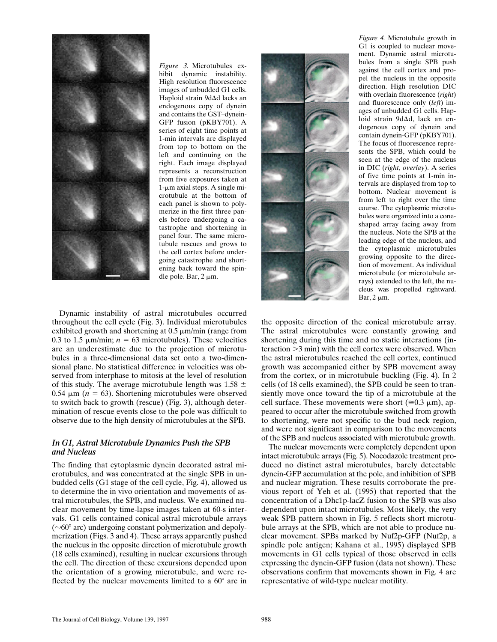

*Figure 3.* Microtubules exhibit dynamic instability. High resolution fluorescence images of unbudded G1 cells. Haploid strain 9d $\Delta$ d lacks an endogenous copy of dynein and contains the GST–dynein-GFP fusion (pKBY701). A series of eight time points at 1-min intervals are displayed from top to bottom on the left and continuing on the right. Each image displayed represents a reconstruction from five exposures taken at 1-mm axial steps. A single microtubule at the bottom of each panel is shown to polymerize in the first three panels before undergoing a catastrophe and shortening in panel four. The same microtubule rescues and grows to the cell cortex before undergoing catastrophe and shortening back toward the spindle pole. Bar,  $2 \mu m$ .

Dynamic instability of astral microtubules occurred throughout the cell cycle (Fig. 3). Individual microtubules exhibited growth and shortening at  $0.5 \mu m/min$  (range from 0.3 to 1.5  $\mu$ m/min; *n* = 63 microtubules). These velocities are an underestimate due to the projection of microtubules in a three-dimensional data set onto a two-dimensional plane. No statistical difference in velocities was observed from interphase to mitosis at the level of resolution of this study. The average microtubule length was  $1.58 \pm 1.58$ 0.54  $\mu$ m (*n* = 63). Shortening microtubules were observed to switch back to growth (rescue) (Fig. 3), although determination of rescue events close to the pole was difficult to observe due to the high density of microtubules at the SPB.

### *In G1, Astral Microtubule Dynamics Push the SPB and Nucleus*

The finding that cytoplasmic dynein decorated astral microtubules, and was concentrated at the single SPB in unbudded cells (G1 stage of the cell cycle, Fig. 4), allowed us to determine the in vivo orientation and movements of astral microtubules, the SPB, and nucleus. We examined nuclear movement by time-lapse images taken at 60-s intervals. G1 cells contained conical astral microtubule arrays  $(\sim 60^{\circ}$  arc) undergoing constant polymerization and depolymerization (Figs. 3 and 4). These arrays apparently pushed the nucleus in the opposite direction of microtubule growth (18 cells examined), resulting in nuclear excursions through the cell. The direction of these excursions depended upon the orientation of a growing microtubule, and were reflected by the nuclear movements limited to a  $60^{\circ}$  arc in



*Figure 4.* Microtubule growth in G1 is coupled to nuclear movement. Dynamic astral microtubules from a single SPB push against the cell cortex and propel the nucleus in the opposite direction. High resolution DIC with overlain fluorescence (*right*) and fluorescence only (*left*) images of unbudded G1 cells. Haploid strain 9d $\Delta$ d, lack an endogenous copy of dynein and contain dynein-GFP (pKBY701). The focus of fluorescence represents the SPB, which could be seen at the edge of the nucleus in DIC (*right*, *overlay*). A series of five time points at 1-min intervals are displayed from top to bottom. Nuclear movement is from left to right over the time course. The cytoplasmic microtubules were organized into a coneshaped array facing away from the nucleus. Note the SPB at the leading edge of the nucleus, and the cytoplasmic microtubules growing opposite to the direction of movement. As individual microtubule (or microtubule arrays) extended to the left, the nucleus was propelled rightward. Bar,  $2 \mu m$ .

the opposite direction of the conical microtubule array. The astral microtubules were constantly growing and shortening during this time and no static interactions (interaction  $>3$  min) with the cell cortex were observed. When the astral microtubules reached the cell cortex, continued growth was accompanied either by SPB movement away from the cortex, or in microtubule buckling (Fig. 4). In 2 cells (of 18 cells examined), the SPB could be seen to transiently move once toward the tip of a microtubule at the cell surface. These movements were short ( $\approx 0.3 \mu$ m), appeared to occur after the microtubule switched from growth to shortening, were not specific to the bud neck region, and were not significant in comparison to the movements of the SPB and nucleus associated with microtubule growth.

The nuclear movements were completely dependent upon intact microtubule arrays (Fig. 5). Nocodazole treatment produced no distinct astral microtubules, barely detectable dynein-GFP accumulation at the pole, and inhibition of SPB and nuclear migration. These results corroborate the previous report of Yeh et al. (1995) that reported that the concentration of a Dhc1p-lacZ fusion to the SPB was also dependent upon intact microtubules. Most likely, the very weak SPB pattern shown in Fig. 5 reflects short microtubule arrays at the SPB, which are not able to produce nuclear movement. SPBs marked by Nuf2p-GFP (Nuf2p, a spindle pole antigen; Kahana et al., 1995) displayed SPB movements in G1 cells typical of those observed in cells expressing the dynein-GFP fusion (data not shown). These observations confirm that movements shown in Fig. 4 are representative of wild-type nuclear motility.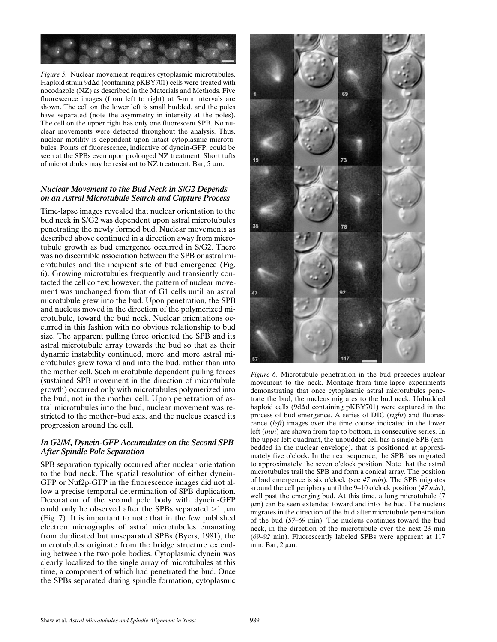

*Figure 5.* Nuclear movement requires cytoplasmic microtubules. Haploid strain  $9d\Delta d$  (containing pKBY701) cells were treated with nocodazole (NZ) as described in the Materials and Methods. Five fluorescence images (from left to right) at 5-min intervals are shown. The cell on the lower left is small budded, and the poles have separated (note the asymmetry in intensity at the poles). The cell on the upper right has only one fluorescent SPB. No nuclear movements were detected throughout the analysis. Thus, nuclear motility is dependent upon intact cytoplasmic microtubules. Points of fluorescence, indicative of dynein-GFP, could be seen at the SPBs even upon prolonged NZ treatment. Short tufts of microtubules may be resistant to NZ treatment. Bar,  $5 \mu m$ .

## *Nuclear Movement to the Bud Neck in S/G2 Depends on an Astral Microtubule Search and Capture Process*

Time-lapse images revealed that nuclear orientation to the bud neck in S/G2 was dependent upon astral microtubules penetrating the newly formed bud. Nuclear movements as described above continued in a direction away from microtubule growth as bud emergence occurred in S/G2. There was no discernible association between the SPB or astral microtubules and the incipient site of bud emergence (Fig. 6). Growing microtubules frequently and transiently contacted the cell cortex; however, the pattern of nuclear movement was unchanged from that of G1 cells until an astral microtubule grew into the bud. Upon penetration, the SPB and nucleus moved in the direction of the polymerized microtubule, toward the bud neck. Nuclear orientations occurred in this fashion with no obvious relationship to bud size. The apparent pulling force oriented the SPB and its astral microtubule array towards the bud so that as their dynamic instability continued, more and more astral microtubules grew toward and into the bud, rather than into the mother cell. Such microtubule dependent pulling forces (sustained SPB movement in the direction of microtubule growth) occurred only with microtubules polymerized into the bud, not in the mother cell. Upon penetration of astral microtubules into the bud, nuclear movement was restricted to the mother–bud axis, and the nucleus ceased its progression around the cell.

### *In G2/M, Dynein-GFP Accumulates on the Second SPB After Spindle Pole Separation*

SPB separation typically occurred after nuclear orientation to the bud neck. The spatial resolution of either dynein-GFP or Nuf2p-GFP in the fluorescence images did not allow a precise temporal determination of SPB duplication. Decoration of the second pole body with dynein-GFP could only be observed after the SPBs separated  $>1 \mu m$ (Fig. 7). It is important to note that in the few published electron micrographs of astral microtubules emanating from duplicated but unseparated SPBs (Byers, 1981), the microtubules originate from the bridge structure extending between the two pole bodies. Cytoplasmic dynein was clearly localized to the single array of microtubules at this time, a component of which had penetrated the bud. Once the SPBs separated during spindle formation, cytoplasmic



*Figure 6.* Microtubule penetration in the bud precedes nuclear movement to the neck. Montage from time-lapse experiments demonstrating that once cytoplasmic astral microtubules penetrate the bud, the nucleus migrates to the bud neck. Unbudded haploid cells ( $9d\Delta d$  containing pKBY701) were captured in the process of bud emergence. A series of DIC (*right*) and fluorescence (*left*) images over the time course indicated in the lower left (*min*) are shown from top to bottom, in consecutive series. In the upper left quadrant, the unbudded cell has a single SPB (embedded in the nuclear envelope), that is positioned at approximately five o'clock. In the next sequence, the SPB has migrated to approximately the seven o'clock position. Note that the astral microtubules trail the SPB and form a conical array. The position of bud emergence is six o'clock (see *47 min*). The SPB migrates around the cell periphery until the 9–10 o'clock position (*47 min*), well past the emerging bud. At this time, a long microtubule (7  $\mu$ m) can be seen extended toward and into the bud. The nucleus migrates in the direction of the bud after microtubule penetration of the bud (*57*–*69* min). The nucleus continues toward the bud neck, in the direction of the microtubule over the next 23 min (*69*–*92* min). Fluorescently labeled SPBs were apparent at 117 min. Bar,  $2 \mu m$ .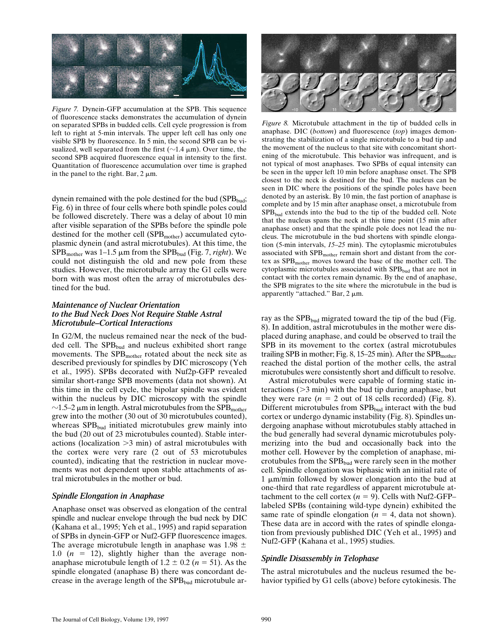

*Figure 7.* Dynein-GFP accumulation at the SPB. This sequence of fluorescence stacks demonstrates the accumulation of dynein on separated SPBs in budded cells. Cell cycle progression is from left to right at 5-min intervals. The upper left cell has only one visible SPB by fluorescence. In 5 min, the second SPB can be visualized, well separated from the first ( $\sim$ 1.4  $\mu$ m). Over time, the second SPB acquired fluorescence equal in intensity to the first. Quantitation of fluorescence accumulation over time is graphed in the panel to the right. Bar,  $2 \mu m$ .

dynein remained with the pole destined for the bud  $(SPB<sub>bud</sub>;$ Fig. 6) in three of four cells where both spindle poles could be followed discretely. There was a delay of about 10 min after visible separation of the SPBs before the spindle pole destined for the mother cell  $(SPB<sub>mother</sub>)$  accumulated cytoplasmic dynein (and astral microtubules). At this time, the SPB<sub>mother</sub> was 1–1.5  $\mu$ m from the SPB<sub>bud</sub> (Fig. 7, *right*). We could not distinguish the old and new pole from these studies. However, the microtubule array the G1 cells were born with was most often the array of microtubules destined for the bud.

## *Maintenance of Nuclear Orientation to the Bud Neck Does Not Require Stable Astral Microtubule–Cortical Interactions*

In G2/M, the nucleus remained near the neck of the budded cell. The SPB<sub>bud</sub> and nucleus exhibited short range movements. The SPB<sub>mother</sub> rotated about the neck site as described previously for spindles by DIC microscopy (Yeh et al., 1995). SPBs decorated with Nuf2p-GFP revealed similar short-range SPB movements (data not shown). At this time in the cell cycle, the bipolar spindle was evident within the nucleus by DIC microscopy with the spindle  $\sim$ 1.5–2  $\mu$ m in length. Astral microtubules from the SPB<sub>mother</sub> grew into the mother (30 out of 30 microtubules counted), whereas  $SPB<sub>bud</sub>$  initiated microtubules grew mainly into the bud (20 out of 23 microtubules counted). Stable interactions (localization  $>3$  min) of astral microtubules with the cortex were very rare (2 out of 53 microtubules counted), indicating that the restriction in nuclear movements was not dependent upon stable attachments of astral microtubules in the mother or bud.

### *Spindle Elongation in Anaphase*

Anaphase onset was observed as elongation of the central spindle and nuclear envelope through the bud neck by DIC (Kahana et al., 1995; Yeh et al., 1995) and rapid separation of SPBs in dynein-GFP or Nuf2-GFP fluorescence images. The average microtubule length in anaphase was 1.98  $\pm$ 1.0  $(n = 12)$ , slightly higher than the average nonanaphase microtubule length of  $1.2 \pm 0.2$  ( $n = 51$ ). As the spindle elongated (anaphase B) there was concordant decrease in the average length of the SPB<sub>bud</sub> microtubule ar-



*Figure 8.* Microtubule attachment in the tip of budded cells in anaphase. DIC (*bottom*) and fluorescence (*top*) images demonstrating the stabilization of a single microtubule to a bud tip and the movement of the nucleus to that site with concomitant shortening of the microtubule. This behavior was infrequent, and is not typical of most anaphases. Two SPBs of equal intensity can be seen in the upper left 10 min before anaphase onset. The SPB closest to the neck is destined for the bud. The nucleus can be seen in DIC where the positions of the spindle poles have been denoted by an asterisk. By 10 min, the fast portion of anaphase is complete and by 15 min after anaphase onset, a microtubule from SPB<sub>bud</sub> extends into the bud to the tip of the budded cell. Note that the nucleus spans the neck at this time point (15 min after anaphase onset) and that the spindle pole does not lead the nucleus. The microtubule in the bud shortens with spindle elongation (5-min intervals, *15*–*25* min). The cytoplasmic microtubules associated with  $SPB<sub>mother</sub>$  remain short and distant from the cortex as SPB<sub>mother</sub> moves toward the base of the mother cell. The cytoplasmic microtubules associated with  $SPB<sub>bud</sub>$  that are not in contact with the cortex remain dynamic. By the end of anaphase, the SPB migrates to the site where the microtubule in the bud is apparently "attached." Bar,  $2 \mu m$ .

ray as the  $SPB<sub>bud</sub>$  migrated toward the tip of the bud (Fig. 8). In addition, astral microtubules in the mother were displaced during anaphase, and could be observed to trail the SPB in its movement to the cortex (astral microtubules trailing SPB in mother; Fig. 8, 15–25 min). After the  $SPB<sub>mother</sub>$ reached the distal portion of the mother cells, the astral microtubules were consistently short and difficult to resolve.

Astral microtubules were capable of forming static interactions  $(>= 3 \text{ min})$  with the bud tip during anaphase, but they were rare  $(n = 2$  out of 18 cells recorded) (Fig. 8). Different microtubules from  $SPB<sub>bud</sub>$  interact with the bud cortex or undergo dynamic instability (Fig. 8). Spindles undergoing anaphase without microtubules stably attached in the bud generally had several dynamic microtubules polymerizing into the bud and occasionally back into the mother cell. However by the completion of anaphase, microtubules from the  $SPB<sub>bud</sub>$  were rarely seen in the mother cell. Spindle elongation was biphasic with an initial rate of 1  $\mu$ m/min followed by slower elongation into the bud at one-third that rate regardless of apparent microtubule attachment to the cell cortex  $(n = 9)$ . Cells with Nuf2-GFP– labeled SPBs (containing wild-type dynein) exhibited the same rate of spindle elongation  $(n = 4)$ , data not shown). These data are in accord with the rates of spindle elongation from previously published DIC (Yeh et al., 1995) and Nuf2-GFP (Kahana et al., 1995) studies.

### *Spindle Disassembly in Telophase*

The astral microtubules and the nucleus resumed the behavior typified by G1 cells (above) before cytokinesis. The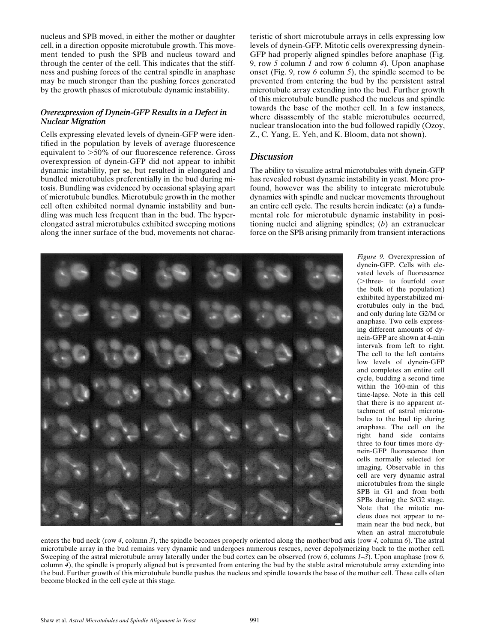nucleus and SPB moved, in either the mother or daughter cell, in a direction opposite microtubule growth. This movement tended to push the SPB and nucleus toward and through the center of the cell. This indicates that the stiffness and pushing forces of the central spindle in anaphase may be much stronger than the pushing forces generated by the growth phases of microtubule dynamic instability.

# *Overexpression of Dynein-GFP Results in a Defect in Nuclear Migration*

Cells expressing elevated levels of dynein-GFP were identified in the population by levels of average fluorescence equivalent to  $>50\%$  of our fluorescence reference. Gross overexpression of dynein-GFP did not appear to inhibit dynamic instability, per se, but resulted in elongated and bundled microtubules preferentially in the bud during mitosis. Bundling was evidenced by occasional splaying apart of microtubule bundles. Microtubule growth in the mother cell often exhibited normal dynamic instability and bundling was much less frequent than in the bud. The hyperelongated astral microtubules exhibited sweeping motions along the inner surface of the bud, movements not characteristic of short microtubule arrays in cells expressing low levels of dynein-GFP. Mitotic cells overexpressing dynein-GFP had properly aligned spindles before anaphase (Fig. 9, row *5* column *1* and row *6* column *4*). Upon anaphase onset (Fig. 9, row *6* column *5*), the spindle seemed to be prevented from entering the bud by the persistent astral microtubule array extending into the bud. Further growth of this microtubule bundle pushed the nucleus and spindle towards the base of the mother cell. In a few instances, where disassembly of the stable microtubules occurred, nuclear translocation into the bud followed rapidly (Ozoy, Z., C. Yang, E. Yeh, and K. Bloom, data not shown).

# *Discussion*

The ability to visualize astral microtubules with dynein-GFP has revealed robust dynamic instability in yeast. More profound, however was the ability to integrate microtubule dynamics with spindle and nuclear movements throughout an entire cell cycle. The results herein indicate: (*a*) a fundamental role for microtubule dynamic instability in positioning nuclei and aligning spindles; (*b*) an extranuclear force on the SPB arising primarily from transient interactions



*Figure 9.* Overexpression of dynein-GFP. Cells with elevated levels of fluorescence  $($ >three- to fourfold over the bulk of the population) exhibited hyperstabilized microtubules only in the bud, and only during late G2/M or anaphase. Two cells expressing different amounts of dynein-GFP are shown at 4-min intervals from left to right. The cell to the left contains low levels of dynein-GFP and completes an entire cell cycle, budding a second time within the 160-min of this time-lapse. Note in this cell that there is no apparent attachment of astral microtubules to the bud tip during anaphase. The cell on the right hand side contains three to four times more dynein-GFP fluorescence than cells normally selected for imaging. Observable in this cell are very dynamic astral microtubules from the single SPB in G1 and from both SPBs during the S/G2 stage. Note that the mitotic nucleus does not appear to remain near the bud neck, but when an astral microtubule

enters the bud neck (row *4*, column *3*), the spindle becomes properly oriented along the mother/bud axis (row *4*, column *6*). The astral microtubule array in the bud remains very dynamic and undergoes numerous rescues, never depolymerizing back to the mother cell. Sweeping of the astral microtubule array laterally under the bud cortex can be observed (row *6*, columns *1–3*). Upon anaphase (row *6*, column *4*), the spindle is properly aligned but is prevented from entering the bud by the stable astral microtubule array extending into the bud. Further growth of this microtubule bundle pushes the nucleus and spindle towards the base of the mother cell. These cells often become blocked in the cell cycle at this stage.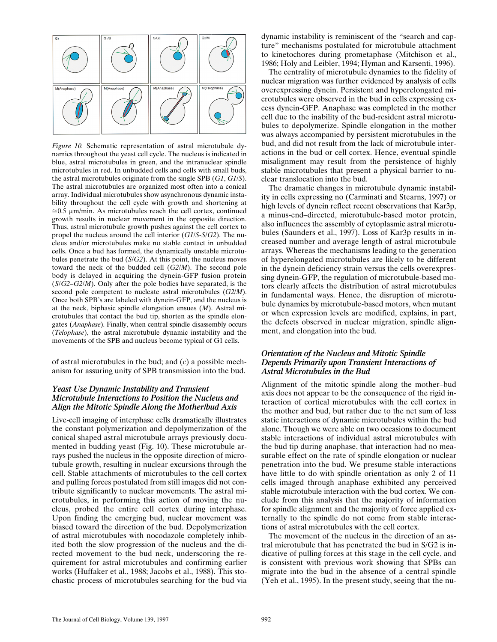

*Figure 10.* Schematic representation of astral microtubule dynamics throughout the yeast cell cycle. The nucleus is indicated in blue, astral microtubules in green, and the intranuclear spindle microtubules in red. In unbudded cells and cells with small buds, the astral microtubules originate from the single SPB (*G1*, *G1*/*S*). The astral microtubules are organized most often into a conical array. Individual microtubules show asynchronous dynamic instability throughout the cell cycle with growth and shortening at  $\approx 0.5$   $\mu$ m/min. As microtubules reach the cell cortex, continued growth results in nuclear movement in the opposite direction. Thus, astral microtubule growth pushes against the cell cortex to propel the nucleus around the cell interior (*G1*/*S*-*S*/*G2*). The nucleus and/or microtubules make no stable contact in unbudded cells. Once a bud has formed, the dynamically unstable microtubules penetrate the bud (*S*/*G2*). At this point, the nucleus moves toward the neck of the budded cell (*G2*/*M*). The second pole body is delayed in acquiring the dynein-GFP fusion protein (*S*/*G2–G2*/*M*). Only after the pole bodies have separated, is the second pole competent to nucleate astral microtubules (*G2*/*M*). Once both SPB's are labeled with dynein-GFP, and the nucleus is at the neck, biphasic spindle elongation ensues (*M*). Astral microtubules that contact the bud tip, shorten as the spindle elongates (*Anaphase*). Finally, when central spindle disassembly occurs (*Telophase*), the astral microtubule dynamic instability and the movements of the SPB and nucleus become typical of G1 cells.

of astral microtubules in the bud; and (*c*) a possible mechanism for assuring unity of SPB transmission into the bud.

### *Yeast Use Dynamic Instability and Transient Microtubule Interactions to Position the Nucleus and Align the Mitotic Spindle Along the Mother/bud Axis*

Live-cell imaging of interphase cells dramatically illustrates the constant polymerization and depolymerization of the conical shaped astral microtubule arrays previously documented in budding yeast (Fig. 10). These microtubule arrays pushed the nucleus in the opposite direction of microtubule growth, resulting in nuclear excursions through the cell. Stable attachments of microtubules to the cell cortex and pulling forces postulated from still images did not contribute significantly to nuclear movements. The astral microtubules, in performing this action of moving the nucleus, probed the entire cell cortex during interphase. Upon finding the emerging bud, nuclear movement was biased toward the direction of the bud. Depolymerization of astral microtubules with nocodazole completely inhibited both the slow progression of the nucleus and the directed movement to the bud neck, underscoring the requirement for astral microtubules and confirming earlier works (Huffaker et al., 1988; Jacobs et al., 1988). This stochastic process of microtubules searching for the bud via

dynamic instability is reminiscent of the "search and capture" mechanisms postulated for microtubule attachment to kinetochores during prometaphase (Mitchison et al., 1986; Holy and Leibler, 1994; Hyman and Karsenti, 1996).

The centrality of microtubule dynamics to the fidelity of nuclear migration was further evidenced by analysis of cells overexpressing dynein. Persistent and hyperelongated microtubules were observed in the bud in cells expressing excess dynein-GFP. Anaphase was completed in the mother cell due to the inability of the bud-resident astral microtubules to depolymerize. Spindle elongation in the mother was always accompanied by persistent microtubules in the bud, and did not result from the lack of microtubule interactions in the bud or cell cortex. Hence, eventual spindle misalignment may result from the persistence of highly stable microtubules that present a physical barrier to nuclear translocation into the bud.

The dramatic changes in microtubule dynamic instability in cells expressing no (Carminati and Stearns, 1997) or high levels of dynein reflect recent observations that Kar3p, a minus-end–directed, microtubule-based motor protein, also influences the assembly of cytoplasmic astral microtubules (Saunders et al., 1997). Loss of Kar3p results in increased number and average length of astral microtubule arrays. Whereas the mechanisms leading to the generation of hyperelongated microtubules are likely to be different in the dynein deficiency strain versus the cells overexpressing dynein-GFP, the regulation of microtubule-based motors clearly affects the distribution of astral microtubules in fundamental ways. Hence, the disruption of microtubule dynamics by microtubule-based motors, when mutant or when expression levels are modified, explains, in part, the defects observed in nuclear migration, spindle alignment, and elongation into the bud.

#### *Orientation of the Nucleus and Mitotic Spindle Depends Primarily upon Transient Interactions of Astral Microtubules in the Bud*

Alignment of the mitotic spindle along the mother–bud axis does not appear to be the consequence of the rigid interaction of cortical microtubules with the cell cortex in the mother and bud, but rather due to the net sum of less static interactions of dynamic microtubules within the bud alone. Though we were able on two occasions to document stable interactions of individual astral microtubules with the bud tip during anaphase, that interaction had no measurable effect on the rate of spindle elongation or nuclear penetration into the bud. We presume stable interactions have little to do with spindle orientation as only 2 of 11 cells imaged through anaphase exhibited any perceived stable microtubule interaction with the bud cortex. We conclude from this analysis that the majority of information for spindle alignment and the majority of force applied externally to the spindle do not come from stable interactions of astral microtubules with the cell cortex.

The movement of the nucleus in the direction of an astral microtubule that has penetrated the bud in S/G2 is indicative of pulling forces at this stage in the cell cycle, and is consistent with previous work showing that SPBs can migrate into the bud in the absence of a central spindle (Yeh et al., 1995). In the present study, seeing that the nu-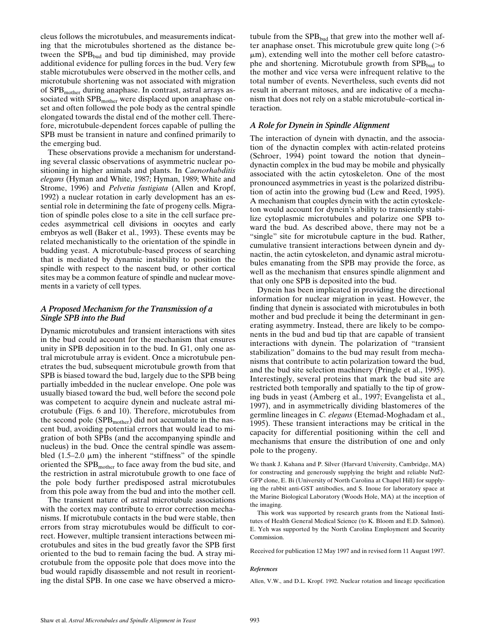cleus follows the microtubules, and measurements indicating that the microtubules shortened as the distance between the  $SPB<sub>bud</sub>$  and bud tip diminished, may provide additional evidence for pulling forces in the bud. Very few stable microtubules were observed in the mother cells, and microtubule shortening was not associated with migration of SPB<sub>mother</sub> during anaphase. In contrast, astral arrays associated with SPB<sub>mother</sub> were displaced upon anaphase onset and often followed the pole body as the central spindle elongated towards the distal end of the mother cell. Therefore, microtubule-dependent forces capable of pulling the SPB must be transient in nature and confined primarily to the emerging bud.

These observations provide a mechanism for understanding several classic observations of asymmetric nuclear positioning in higher animals and plants. In *Caenorhabditis elegans* (Hyman and White, 1987; Hyman, 1989; White and Strome, 1996) and *Pelvetia fastigiata* (Allen and Kropf, 1992) a nuclear rotation in early development has an essential role in determining the fate of progeny cells. Migration of spindle poles close to a site in the cell surface precedes asymmetrical cell divisions in oocytes and early embryos as well (Baker et al., 1993). These events may be related mechanistically to the orientation of the spindle in budding yeast. A microtubule-based process of searching that is mediated by dynamic instability to position the spindle with respect to the nascent bud, or other cortical sites may be a common feature of spindle and nuclear movements in a variety of cell types.

### *A Proposed Mechanism for the Transmission of a Single SPB into the Bud*

Dynamic microtubules and transient interactions with sites in the bud could account for the mechanism that ensures unity in SPB deposition in to the bud. In G1, only one astral microtubule array is evident. Once a microtubule penetrates the bud, subsequent microtubule growth from that SPB is biased toward the bud, largely due to the SPB being partially imbedded in the nuclear envelope. One pole was usually biased toward the bud, well before the second pole was competent to acquire dynein and nucleate astral microtubule (Figs. 6 and 10). Therefore, microtubules from the second pole  $(SPB<sub>mother</sub>)$  did not accumulate in the nascent bud, avoiding potential errors that would lead to migration of both SPBs (and the accompanying spindle and nucleus) in the bud. Once the central spindle was assembled  $(1.5-2.0 \mu m)$  the inherent "stiffness" of the spindle oriented the SPB<sub>mother</sub> to face away from the bud site, and the restriction in astral microtubule growth to one face of the pole body further predisposed astral microtubules from this pole away from the bud and into the mother cell.

The transient nature of astral microtubule associations with the cortex may contribute to error correction mechanisms. If microtubule contacts in the bud were stable, then errors from stray microtubules would be difficult to correct. However, multiple transient interactions between microtubules and sites in the bud greatly favor the SPB first oriented to the bud to remain facing the bud. A stray microtubule from the opposite pole that does move into the bud would rapidly disassemble and not result in reorienting the distal SPB. In one case we have observed a micro-

tubule from the  $SPB<sub>bud</sub>$  that grew into the mother well after anaphase onset. This microtubule grew quite long  $(>\,6$  $\mu$ m), extending well into the mother cell before catastrophe and shortening. Microtubule growth from  $SPB<sub>bud</sub>$  to the mother and vice versa were infrequent relative to the total number of events. Nevertheless, such events did not result in aberrant mitoses, and are indicative of a mechanism that does not rely on a stable microtubule–cortical interaction.

### *A Role for Dynein in Spindle Alignment*

The interaction of dynein with dynactin, and the association of the dynactin complex with actin-related proteins (Schroer, 1994) point toward the notion that dynein– dynactin complex in the bud may be mobile and physically associated with the actin cytoskeleton. One of the most pronounced asymmetries in yeast is the polarized distribution of actin into the growing bud (Lew and Reed, 1995). A mechanism that couples dynein with the actin cytoskeleton would account for dynein's ability to transiently stabilize cytoplasmic microtubules and polarize one SPB toward the bud. As described above, there may not be a "single" site for microtubule capture in the bud. Rather, cumulative transient interactions between dynein and dynactin, the actin cytoskeleton, and dynamic astral microtubules emanating from the SPB may provide the force, as well as the mechanism that ensures spindle alignment and that only one SPB is deposited into the bud.

Dynein has been implicated in providing the directional information for nuclear migration in yeast. However, the finding that dynein is associated with microtubules in both mother and bud preclude it being the determinant in generating asymmetry. Instead, there are likely to be components in the bud and bud tip that are capable of transient interactions with dynein. The polarization of "transient stabilization" domains to the bud may result from mechanisms that contribute to actin polarization toward the bud, and the bud site selection machinery (Pringle et al., 1995). Interestingly, several proteins that mark the bud site are restricted both temporally and spatially to the tip of growing buds in yeast (Amberg et al., 1997; Evangelista et al., 1997), and in asymmetrically dividing blastomeres of the germline lineages in *C. elegans* (Etemad-Moghadam et al., 1995). These transient interactions may be critical in the capacity for differential positioning within the cell and mechanisms that ensure the distribution of one and only pole to the progeny.

We thank J. Kahana and P. Silver (Harvard University, Cambridge, MA) for constructing and generously supplying the bright and reliable Nuf2- GFP clone, E. Bi (University of North Carolina at Chapel Hill) for supplying the rabbit anti-GST antibodies, and S. Inoue for laboratory space at the Marine Biological Laboratory (Woods Hole, MA) at the inception of the imaging.

This work was supported by research grants from the National Institutes of Health General Medical Science (to K. Bloom and E.D. Salmon). E. Yeh was supported by the North Carolina Employment and Security Commission.

Received for publication 12 May 1997 and in revised form 11 August 1997.

#### *References*

Allen, V.W., and D.L. Kropf. 1992. Nuclear rotation and lineage specification